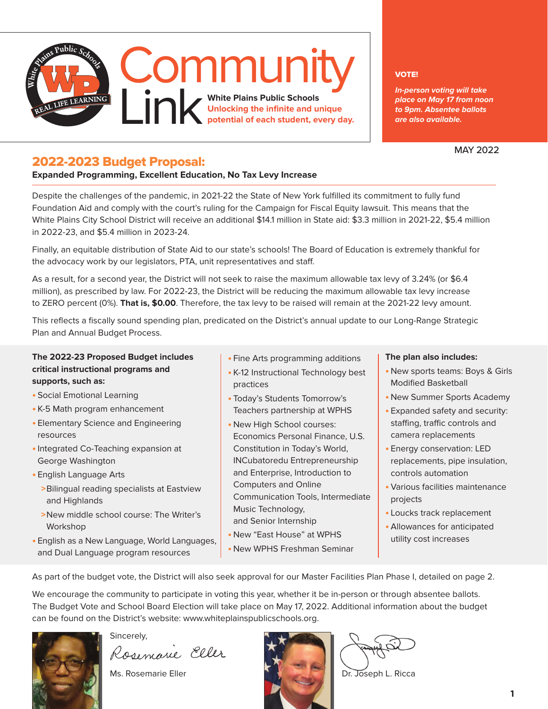

#### VOTE!

**In-person voting will take place on May 17 from noon to 9pm. Absentee ballots are also available.** 

MAY 2022

### 2022-2023 Budget Proposal:

#### **Expanded Programming, Excellent Education, No Tax Levy Increase**

Despite the challenges of the pandemic, in 2021-22 the State of New York fulfilled its commitment to fully fund Foundation Aid and comply with the court's ruling for the Campaign for Fiscal Equity lawsuit. This means that the White Plains City School District will receive an additional \$14.1 million in State aid: \$3.3 million in 2021-22, \$5.4 million in 2022-23, and \$5.4 million in 2023-24.

Finally, an equitable distribution of State Aid to our state's schools! The Board of Education is extremely thankful for the advocacy work by our legislators, PTA, unit representatives and staff.

As a result, for a second year, the District will not seek to raise the maximum allowable tax levy of 3.24% (or \$6.4 million), as prescribed by law. For 2022-23, the District will be reducing the maximum allowable tax levy increase to ZERO percent (0%). **That is, \$0.00**. Therefore, the tax levy to be raised will remain at the 2021-22 levy amount.

This reflects a fiscally sound spending plan, predicated on the District's annual update to our Long-Range Strategic Plan and Annual Budget Process.

#### **The 2022-23 Proposed Budget includes critical instructional programs and supports, such as:**

- **•** Social Emotional Learning
- **•** K-5 Math program enhancement
- **•** Elementary Science and Engineering resources
- **•**Integrated Co-Teaching expansion at George Washington

**•** English Language Arts

- >Bilingual reading specialists at Eastview and Highlands
- >New middle school course: The Writer's Workshop
- **•** English as a New Language, World Languages, and Dual Language program resources
- **•** Fine Arts programming additions
- **•** K-12 Instructional Technology best practices
- **•** Today's Students Tomorrow's Teachers partnership at WPHS
- **•** New High School courses: Economics Personal Finance, U.S. Constitution in Today's World, INCubatoredu Entrepreneurship and Enterprise, Introduction to Computers and Online Communication Tools, Intermediate Music Technology, and Senior Internship
- **•** New "East House" at WPHS
- **•** New WPHS Freshman Seminar

#### **The plan also includes:**

- **•** New sports teams: Boys & Girls Modified Basketball
- **•** New Summer Sports Academy
- **•** Expanded safety and security: staffing, traffic controls and camera replacements
- **•** Energy conservation: LED replacements, pipe insulation, controls automation
- **•** Various facilities maintenance projects
- **•** Loucks track replacement
- **•** Allowances for anticipated utility cost increases

As part of the budget vote, the District will also seek approval for our Master Facilities Plan Phase I, detailed on page 2.

We encourage the community to participate in voting this year, whether it be in-person or through absentee ballots. The Budget Vote and School Board Election will take place on May 17, 2022. Additional information about the budget can be found on the District's website: www.whiteplainspublicschools.org.

Sincerely,<br>Rosemarie Eller

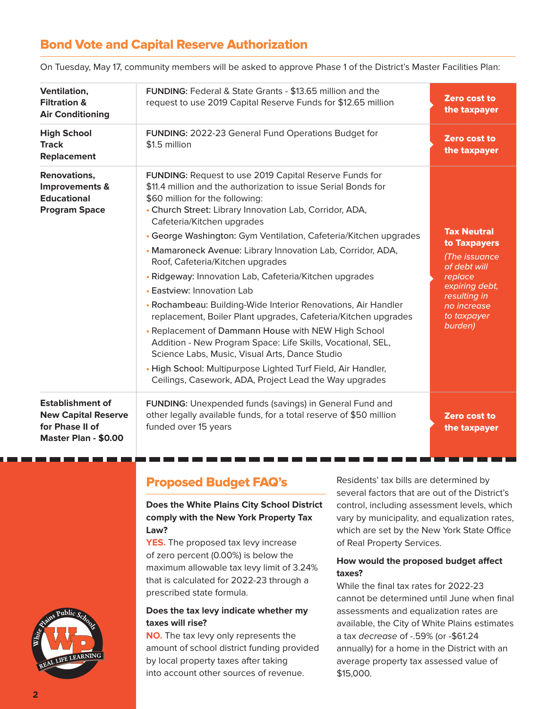# Bond Vote and Capital Reserve Authorization

| Ventilation,<br><b>Filtration &amp;</b><br><b>Air Conditioning</b>                               | FUNDING: Federal & State Grants - \$13.65 million and the<br>request to use 2019 Capital Reserve Funds for \$12.65 million                                                                                                                                                                                                                                                                                                                                                                                                                                                                                                                                                                                                                                                   | Zero cost to<br>the taxpayer                                                                                                                              |
|--------------------------------------------------------------------------------------------------|------------------------------------------------------------------------------------------------------------------------------------------------------------------------------------------------------------------------------------------------------------------------------------------------------------------------------------------------------------------------------------------------------------------------------------------------------------------------------------------------------------------------------------------------------------------------------------------------------------------------------------------------------------------------------------------------------------------------------------------------------------------------------|-----------------------------------------------------------------------------------------------------------------------------------------------------------|
| <b>High School</b><br><b>Track</b><br><b>Replacement</b>                                         | <b>FUNDING: 2022-23 General Fund Operations Budget for</b><br>\$1.5 million                                                                                                                                                                                                                                                                                                                                                                                                                                                                                                                                                                                                                                                                                                  | Zero cost to<br>the taxpayer                                                                                                                              |
| Renovations,<br>Improvements &<br><b>Educational</b><br><b>Program Space</b>                     | FUNDING: Request to use 2019 Capital Reserve Funds for<br>\$11.4 million and the authorization to issue Serial Bonds for<br>\$60 million for the following:<br>• Church Street: Library Innovation Lab, Corridor, ADA,<br>Cafeteria/Kitchen upgrades<br>• George Washington: Gym Ventilation, Cafeteria/Kitchen upgrades<br>• Mamaroneck Avenue: Library Innovation Lab, Corridor, ADA,<br>Roof, Cafeteria/Kitchen upgrades<br>• Ridgeway: Innovation Lab, Cafeteria/Kitchen upgrades<br>• Eastview: Innovation Lab<br>• Rochambeau: Building-Wide Interior Renovations, Air Handler<br>replacement, Boiler Plant upgrades, Cafeteria/Kitchen upgrades<br>• Replacement of Dammann House with NEW High School<br>Addition - New Program Space: Life Skills, Vocational, SEL, | <b>Tax Neutral</b><br>to Taxpayers<br>(The issuance<br>of debt will<br>replace<br>expiring debt,<br>resulting in<br>no increase<br>to taxpayer<br>burden) |
|                                                                                                  | Science Labs, Music, Visual Arts, Dance Studio<br>• High School: Multipurpose Lighted Turf Field, Air Handler,<br>Ceilings, Casework, ADA, Project Lead the Way upgrades                                                                                                                                                                                                                                                                                                                                                                                                                                                                                                                                                                                                     |                                                                                                                                                           |
| <b>Establishment of</b><br><b>New Capital Reserve</b><br>for Phase II of<br>Master Plan - \$0.00 | FUNDING: Unexpended funds (savings) in General Fund and<br>other legally available funds, for a total reserve of \$50 million<br>funded over 15 years                                                                                                                                                                                                                                                                                                                                                                                                                                                                                                                                                                                                                        | Zero cost to<br>the taxpayer                                                                                                                              |

On Tuesday, May 17, community members will be asked to approve Phase 1 of the District's Master Facilities Plan:

## Proposed Budget FAQ's

#### **Does the White Plains City School District comply with the New York Property Tax Law?**

**YES.** The proposed tax levy increase of zero percent (0.00%) is below the maximum allowable tax levy limit of 3.24% that is calculated for 2022-23 through a prescribed state formula.

#### **Does the tax levy indicate whether my taxes will rise?**

**NO.** The tax levy only represents the amount of school district funding provided by local property taxes after taking into account other sources of revenue.

Residents' tax bills are determined by several factors that are out of the District's control, including assessment levels, which vary by municipality, and equalization rates, which are set by the New York State Office of Real Property Services.

#### **How would the proposed budget affect taxes?**

While the final tax rates for 2022-23 cannot be determined until June when final assessments and equalization rates are available, the City of White Plains estimates a tax decrease of -.59% (or -\$61.24 annually) for a home in the District with an average property tax assessed value of \$15,000.

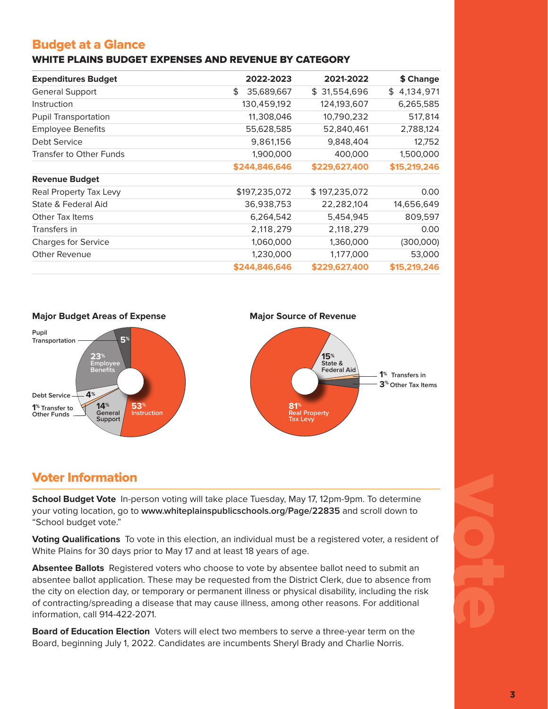# Budget at a Glance

#### WHITE PLAINS BUDGET EXPENSES AND REVENUE BY CATEGORY

| <b>Expenditures Budget</b>     | 2022-2023        | 2021-2022     | \$ Change       |
|--------------------------------|------------------|---------------|-----------------|
| <b>General Support</b>         | \$<br>35,689,667 | \$31,554,696  | 4,134,971<br>\$ |
| Instruction                    | 130,459,192      | 124,193,607   | 6,265,585       |
| <b>Pupil Transportation</b>    | 11,308,046       | 10,790,232    | 517,814         |
| <b>Employee Benefits</b>       | 55,628,585       | 52,840,461    | 2,788,124       |
| Debt Service                   | 9,861,156        | 9,848,404     | 12,752          |
| <b>Transfer to Other Funds</b> | 1,900,000        | 400,000       | 1,500,000       |
|                                | \$244,846,646    | \$229,627,400 | \$15,219,246    |
| <b>Revenue Budget</b>          |                  |               |                 |
| Real Property Tax Levy         | \$197,235,072    | \$197,235,072 | 0.00            |
| State & Federal Aid            | 36,938,753       | 22,282,104    | 14,656,649      |
| Other Tax Items                | 6,264,542        | 5,454,945     | 809,597         |
| Transfers in                   | 2,118,279        | 2,118,279     | 0.00            |
| <b>Charges for Service</b>     | 1,060,000        | 1,360,000     | (300,000)       |
| Other Revenue                  | 1,230,000        | 1,177,000     | 53,000          |
|                                | \$244.846.646    | \$229,627,400 | \$15,219,246    |



# Voter Information

**School Budget Vote** In-person voting will take place Tuesday, May 17, 12pm-9pm. To determine your voting location, go to **www.whiteplainspublicschools.org/Page/22835** and scroll down to "School budget vote."

**Voting Qualifications** To vote in this election, an individual must be a registered voter, a resident of White Plains for 30 days prior to May 17 and at least 18 years of age.

**Absentee Ballots** Registered voters who choose to vote by absentee ballot need to submit an absentee ballot application. These may be requested from the District Clerk, due to absence from the city on election day, or temporary or permanent illness or physical disability, including the risk of contracting/spreading a disease that may cause illness, among other reasons. For additional information, call 914-422-2071.

**Board of Education Election** Voters will elect two members to serve a three-year term on the Board, beginning July 1, 2022. Candidates are incumbents Sheryl Brady and Charlie Norris.

# votes